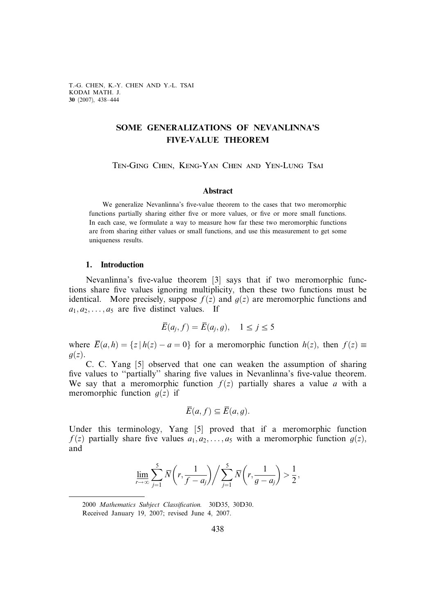T.-G. CHEN, K.-Y. CHEN AND Y.-L. TSAI KODAI MATH. J. 30 (2007), 438–444

# SOME GENERALIZATIONS OF NEVANLINNA'S FIVE-VALUE THEOREM

Ten-Ging Chen, Keng-Yan Chen and Yen-Lung Tsai

### Abstract

We generalize Nevanlinna's five-value theorem to the cases that two meromorphic functions partially sharing either five or more values, or five or more small functions. In each case, we formulate a way to measure how far these two meromorphic functions are from sharing either values or small functions, and use this measurement to get some uniqueness results.

#### 1. Introduction

Nevanlinna's five-value theorem [3] says that if two meromorphic functions share five values ignoring multiplicity, then these two functions must be identical. More precisely, suppose  $f(z)$  and  $g(z)$  are meromorphic functions and  $a_1, a_2, \ldots, a_5$  are five distinct values. If

$$
\overline{E}(a_j, f) = \overline{E}(a_j, g), \quad 1 \le j \le 5
$$

where  $\overline{E}(a,h) = \{z \mid h(z) - a = 0\}$  for a meromorphic function  $h(z)$ , then  $f(z) \equiv$  $g(z)$ .

C. C. Yang [5] observed that one can weaken the assumption of sharing five values to ''partially'' sharing five values in Nevanlinna's five-value theorem. We say that a meromorphic function  $f(z)$  partially shares a value a with a meromorphic function  $g(z)$  if

$$
\overline{E}(a,f) \subseteq \overline{E}(a,g).
$$

Under this terminology, Yang [5] proved that if a meromorphic function  $f(z)$  partially share five values  $a_1, a_2, \ldots, a_5$  with a meromorphic function  $g(z)$ , and

$$
\varliminf_{r\to\infty}\sum_{j=1}^5\overline{N}\bigg(r,\frac{1}{f-a_j}\bigg)\bigg/\sum_{j=1}^5\overline{N}\bigg(r,\frac{1}{g-a_j}\bigg)>\frac{1}{2}\,,
$$

2000 Mathematics Subject Classification. 30D35, 30D30. Received January 19, 2007; revised June 4, 2007.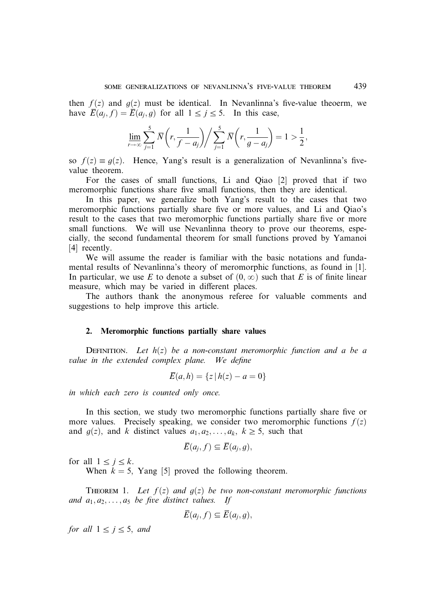then  $f(z)$  and  $g(z)$  must be identical. In Nevanlinna's five-value theoerm, we have  $\overline{E}(a_i, f) = \overline{E}(a_i, g)$  for all  $1 \le i \le 5$ . In this case,

$$
\varliminf_{r\to\infty}\sum_{j=1}^5\overline{N}\bigg(r,\frac{1}{f-a_j}\bigg)\bigg/\sum_{j=1}^5\overline{N}\bigg(r,\frac{1}{g-a_j}\bigg)=1>\frac{1}{2}\,,
$$

so  $f(z) \equiv g(z)$ . Hence, Yang's result is a generalization of Nevanlinna's fivevalue theorem.

For the cases of small functions, Li and Qiao [2] proved that if two meromorphic functions share five small functions, then they are identical.

In this paper, we generalize both Yang's result to the cases that two meromorphic functions partially share five or more values, and Li and Qiao's result to the cases that two meromorphic functions partially share five or more small functions. We will use Nevanlinna theory to prove our theorems, especially, the second fundamental theorem for small functions proved by Yamanoi [4] recently.

We will assume the reader is familiar with the basic notations and fundamental results of Nevanlinna's theory of meromorphic functions, as found in [1]. In particular, we use E to denote a subset of  $(0, \infty)$  such that E is of finite linear measure, which may be varied in different places.

The authors thank the anonymous referee for valuable comments and suggestions to help improve this article.

## 2. Meromorphic functions partially share values

DEFINITION. Let  $h(z)$  be a non-constant meromorphic function and a be a value in the extended complex plane. We define

$$
\overline{E}(a, h) = \{ z \mid h(z) - a = 0 \}
$$

in which each zero is counted only once.

In this section, we study two meromorphic functions partially share five or more values. Precisely speaking, we consider two meromorphic functions  $f(z)$ and  $g(z)$ , and k distinct values  $a_1, a_2, \ldots, a_k, k \ge 5$ , such that

$$
\overline{E}(a_j, f) \subseteq \overline{E}(a_j, g),
$$

for all  $1 \leq j \leq k$ .

When  $k = 5$ , Yang [5] proved the following theorem.

THEOREM 1. Let  $f(z)$  and  $g(z)$  be two non-constant meromorphic functions and  $a_1, a_2, \ldots, a_5$  be five distinct values. If

$$
\overline{E}(a_j, f) \subseteq \overline{E}(a_j, g),
$$

for all  $1 \le j \le 5$ , and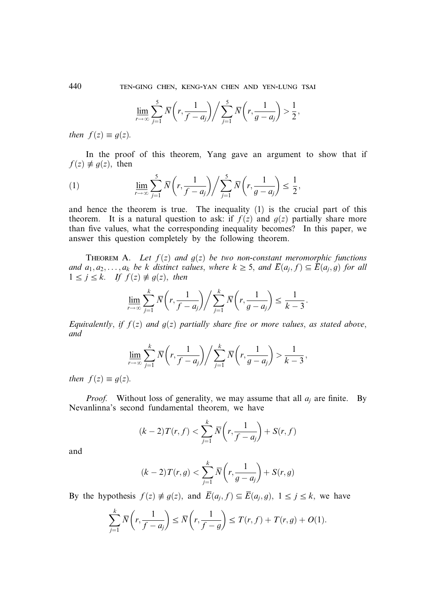440 ten-ging chen, keng-yan chen and yen-lung tsai

$$
\lim_{r \to \infty} \sum_{j=1}^{5} \overline{N}\left(r, \frac{1}{f-a_j}\right) / \sum_{j=1}^{5} \overline{N}\left(r, \frac{1}{g-a_j}\right) > \frac{1}{2},
$$

then  $f(z) \equiv g(z)$ .

In the proof of this theorem, Yang gave an argument to show that if  $f(z) \neq g(z)$ , then

(1) 
$$
\lim_{r \to \infty} \sum_{j=1}^{5} \overline{N}\left(r, \frac{1}{f-a_j}\right) / \sum_{j=1}^{5} \overline{N}\left(r, \frac{1}{g-a_j}\right) \le \frac{1}{2},
$$

and hence the theorem is true. The inequality (1) is the crucial part of this theorem. It is a natural question to ask: if  $f(z)$  and  $g(z)$  partially share more than five values, what the corresponding inequality becomes? In this paper, we answer this question completely by the following theorem.

THEOREM A. Let  $f(z)$  and  $g(z)$  be two non-constant meromorphic functions and  $a_1, a_2, \ldots, a_k$  be k distinct values, where  $k \geq 5$ , and  $\overline{E}(a_i, f) \subseteq \overline{E}(a_i, g)$  for all  $1 \le j \le k$ . If  $f(z) \ne g(z)$ , then

$$
\lim_{r \to \infty} \sum_{j=1}^k \overline{N}\left(r, \frac{1}{f-a_j}\right) / \sum_{j=1}^k \overline{N}\left(r, \frac{1}{g-a_j}\right) \le \frac{1}{k-3}.
$$

Equivalently, if  $f(z)$  and  $g(z)$  partially share five or more values, as stated above, and

$$
\lim_{r \to \infty} \sum_{j=1}^{k} \overline{N}\left(r, \frac{1}{f-a_j}\right) / \sum_{j=1}^{k} \overline{N}\left(r, \frac{1}{g-a_j}\right) > \frac{1}{k-3},
$$

then  $f(z) \equiv g(z)$ .

*Proof.* Without loss of generality, we may assume that all  $a_i$  are finite. By Nevanlinna's second fundamental theorem, we have

$$
(k-2)T(r,f)<\sum_{j=1}^k\overline{N}\left(r,\frac{1}{f-a_j}\right)+S(r,f)
$$

and

$$
(k-2)T(r,g)<\sum_{j=1}^k\overline{N}\left(r,\frac{1}{g-a_j}\right)+S(r,g)
$$

By the hypothesis  $f(z) \neq g(z)$ , and  $\overline{E}(a_i, f) \subseteq \overline{E}(a_i, q)$ ,  $1 \leq i \leq k$ , we have

$$
\sum_{j=1}^k \overline{N}\left(r, \frac{1}{f-a_j}\right) \le \overline{N}\left(r, \frac{1}{f-g}\right) \le T(r, f) + T(r, g) + O(1).
$$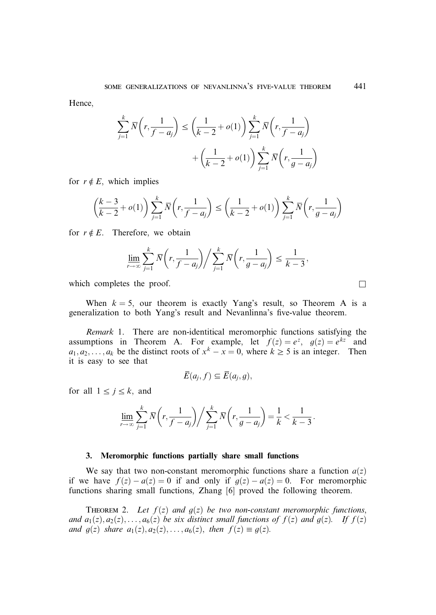Hence,

$$
\sum_{j=1}^{k} \overline{N}\left(r, \frac{1}{f-a_j}\right) \le \left(\frac{1}{k-2} + o(1)\right) \sum_{j=1}^{k} \overline{N}\left(r, \frac{1}{f-a_j}\right)
$$

$$
+ \left(\frac{1}{k-2} + o(1)\right) \sum_{j=1}^{k} \overline{N}\left(r, \frac{1}{g-a_j}\right)
$$

for  $r \notin E$ , which implies

$$
\left(\frac{k-3}{k-2}+o(1)\right)\sum_{j=1}^k\overline{N}\left(r,\frac{1}{f-a_j}\right)\leq\left(\frac{1}{k-2}+o(1)\right)\sum_{j=1}^k\overline{N}\left(r,\frac{1}{g-a_j}\right)
$$

for  $r \notin E$ . Therefore, we obtain

$$
\varliminf_{r\to\infty}\sum_{j=1}^k\overline{N}\bigg(r,\frac{1}{f-a_j}\bigg)\bigg/\sum_{j=1}^k\overline{N}\bigg(r,\frac{1}{g-a_j}\bigg)\leq\frac{1}{k-3},
$$

which completes the proof.  $\Box$ 

When  $k = 5$ , our theorem is exactly Yang's result, so Theorem A is a generalization to both Yang's result and Nevanlinna's five-value theorem.

Remark 1. There are non-identitical meromorphic functions satisfying the assumptions in Theorem A. For example, let  $f(z) = e^z$ ,  $g(z) = e^{kz}$  and  $a_1, a_2, \ldots, a_k$  be the distinct roots of  $x^k - x = 0$ , where  $k \ge 5$  is an integer. Then it is easy to see that

$$
\overline{E}(a_j, f) \subseteq \overline{E}(a_j, g),
$$

for all  $1 \leq j \leq k$ , and

$$
\varliminf_{r\to\infty}\sum_{j=1}^k\overline{N}\bigg(r,\frac{1}{f-a_j}\bigg)\bigg/\sum_{j=1}^k\overline{N}\bigg(r,\frac{1}{g-a_j}\bigg)=\frac{1}{k}<\frac{1}{k-3}.
$$

## 3. Meromorphic functions partially share small functions

We say that two non-constant meromorphic functions share a function  $a(z)$ if we have  $f(z) - a(z) = 0$  if and only if  $g(z) - a(z) = 0$ . For meromorphic functions sharing small functions, Zhang [6] proved the following theorem.

THEOREM 2. Let  $f(z)$  and  $g(z)$  be two non-constant meromorphic functions, and  $a_1(z), a_2(z), \ldots, a_6(z)$  be six distinct small functions of  $f(z)$  and  $g(z)$ . If  $f(z)$ and  $g(z)$  share  $a_1(z), a_2(z), \ldots, a_6(z)$ , then  $f(z) \equiv g(z)$ .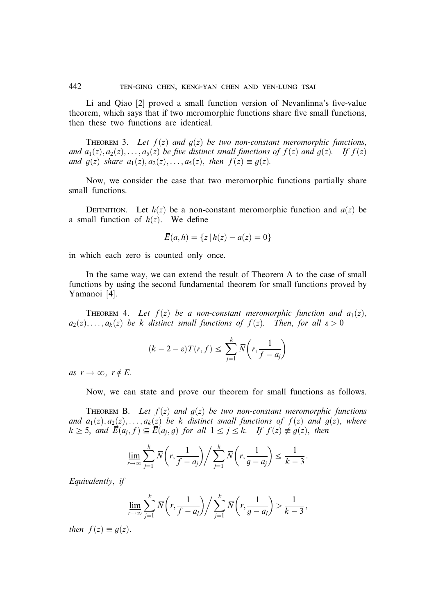Li and Qiao [2] proved a small function version of Nevanlinna's five-value theorem, which says that if two meromorphic functions share five small functions, then these two functions are identical.

THEOREM 3. Let  $f(z)$  and  $g(z)$  be two non-constant meromorphic functions, and  $a_1(z), a_2(z), \ldots, a_5(z)$  be five distinct small functions of  $f(z)$  and  $g(z)$ . If  $f(z)$ and  $g(z)$  share  $a_1(z), a_2(z), \ldots, a_5(z)$ , then  $f(z) \equiv g(z)$ .

Now, we consider the case that two meromorphic functions partially share small functions.

DEFINITION. Let  $h(z)$  be a non-constant meromorphic function and  $a(z)$  be a small function of  $h(z)$ . We define

$$
\overline{E}(a, h) = \{ z \mid h(z) - a(z) = 0 \}
$$

in which each zero is counted only once.

In the same way, we can extend the result of Theorem A to the case of small functions by using the second fundamental theorem for small functions proved by Yamanoi [4].

THEOREM 4. Let  $f(z)$  be a non-constant meromorphic function and  $a_1(z)$ ,  $a_2(z), \ldots, a_k(z)$  be k distinct small functions of  $f(z)$ . Then, for all  $\varepsilon > 0$ 

$$
(k-2-\varepsilon)T(r,f) \le \sum_{j=1}^k \overline{N}\left(r, \frac{1}{f-a_j}\right)
$$

as  $r \to \infty$ ,  $r \notin E$ .

Now, we can state and prove our theorem for small functions as follows.

THEOREM B. Let  $f(z)$  and  $g(z)$  be two non-constant meromorphic functions and  $a_1(z), a_2(z), \ldots, a_k(z)$  be k distinct small functions of  $f(z)$  and  $g(z)$ , where  $k \geq 5$ , and  $\overline{E}(a_i, f) \subseteq \overline{E}(a_i, g)$  for all  $1 \leq j \leq k$ . If  $f(z) \neq g(z)$ , then

$$
\varliminf_{r\to\infty}\sum_{j=1}^k\overline{N}\bigg(r,\frac{1}{f-a_j}\bigg)\bigg/\sum_{j=1}^k\overline{N}\bigg(r,\frac{1}{g-a_j}\bigg)\leq\frac{1}{k-3}.
$$

Equivalently, if

$$
\lim_{r \to \infty} \sum_{j=1}^{k} \overline{N}\left(r, \frac{1}{f-a_j}\right) / \sum_{j=1}^{k} \overline{N}\left(r, \frac{1}{g-a_j}\right) > \frac{1}{k-3},
$$

then  $f(z) \equiv g(z)$ .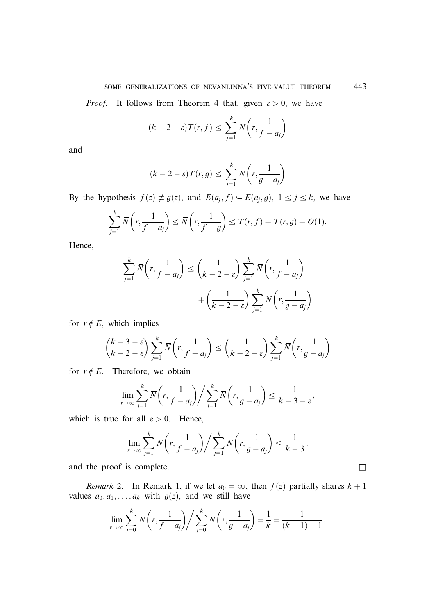*Proof.* It follows from Theorem 4 that, given  $\varepsilon > 0$ , we have

$$
(k-2-\varepsilon)T(r,f) \le \sum_{j=1}^k \overline{N}\left(r,\frac{1}{f-a_j}\right)
$$

and

$$
(k-2-\varepsilon)T(r,g) \le \sum_{j=1}^k \overline{N}\left(r,\frac{1}{g-a_j}\right)
$$

By the hypothesis  $f(z) \neq g(z)$ , and  $\overline{E}(a_j, f) \subseteq \overline{E}(a_j, g)$ ,  $1 \leq j \leq k$ , we have

$$
\sum_{j=1}^k \overline{N}\left(r, \frac{1}{f-a_j}\right) \le \overline{N}\left(r, \frac{1}{f-g}\right) \le T(r, f) + T(r, g) + O(1).
$$

Hence,

$$
\sum_{j=1}^{k} \overline{N}\left(r, \frac{1}{f-a_j}\right) \le \left(\frac{1}{k-2-\varepsilon}\right) \sum_{j=1}^{k} \overline{N}\left(r, \frac{1}{f-a_j}\right)
$$

$$
+ \left(\frac{1}{k-2-\varepsilon}\right) \sum_{j=1}^{k} \overline{N}\left(r, \frac{1}{g-a_j}\right)
$$

for  $r \notin E$ , which implies

$$
\left(\frac{k-3-\varepsilon}{k-2-\varepsilon}\right)\sum_{j=1}^k \overline{N}\left(r, \frac{1}{f-a_j}\right) \le \left(\frac{1}{k-2-\varepsilon}\right)\sum_{j=1}^k \overline{N}\left(r, \frac{1}{g-a_j}\right)
$$

for  $r \notin E$ . Therefore, we obtain

$$
\lim_{r \to \infty} \sum_{j=1}^{k} \overline{N}\left(r, \frac{1}{f-a_j}\right) / \sum_{j=1}^{k} \overline{N}\left(r, \frac{1}{g-a_j}\right) \le \frac{1}{k-3-\varepsilon},
$$

which is true for all  $\varepsilon > 0$ . Hence,

$$
\lim_{r \to \infty} \sum_{j=1}^{k} \overline{N}\left(r, \frac{1}{f-a_j}\right) \bigg/ \sum_{j=1}^{k} \overline{N}\left(r, \frac{1}{g-a_j}\right) \leq \frac{1}{k-3},
$$

and the proof is complete.  $\Box$ 

Remark 2. In Remark 1, if we let  $a_0 = \infty$ , then  $f(z)$  partially shares  $k + 1$ values  $a_0, a_1, \ldots, a_k$  with  $g(z)$ , and we still have

$$
\varliminf_{r\to\infty}\sum_{j=0}^k\overline{N}\bigg(r,\frac{1}{f-a_j}\bigg)\bigg/\sum_{j=0}^k\overline{N}\bigg(r,\frac{1}{g-a_j}\bigg)=\frac{1}{k}=\frac{1}{(k+1)-1}\,,
$$